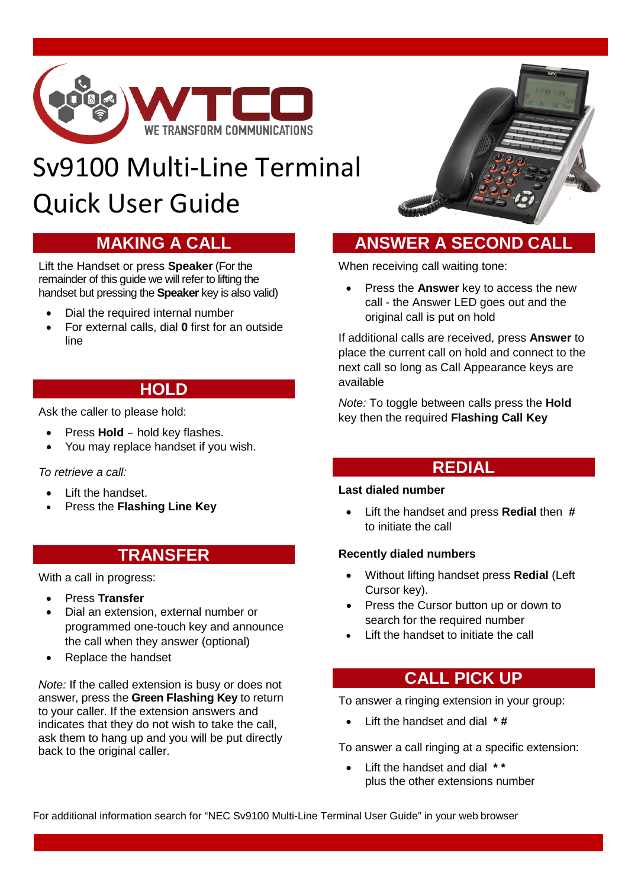

# Sv9100 Multi-Line Terminal Quick User Guide

## **MAKING A CALL**

Lift the Handset or press **Speaker** (For the remainder of this guide we will refer to lifting the handset but pressing the **Speaker** key is also valid)

- Dial the required internal number
- For external calls, dial **0** first for an outside line

## **HOLD**

Ask the caller to please hold:

- Press **Hold** hold key flashes.
- You may replace handset if you wish.

### *To retrieve a call:*

- Lift the handset.
- Press the **Flashing Line Key**

## **TRANSFER**

With a call in progress:

- Press **Transfer**
- Dial an extension, external number or programmed one-touch key and announce the call when they answer (optional)
- Replace the handset

*Note:* If the called extension is busy or does not answer, press the **Green Flashing Key** to return to your caller. If the extension answers and indicates that they do not wish to take the call, ask them to hang up and you will be put directly back to the original caller.



## **ANSWER A SECOND CALL**

When receiving call waiting tone:

• Press the **Answer** key to access the new call - the Answer LED goes out and the original call is put on hold

If additional calls are received, press **Answer** to place the current call on hold and connect to the next call so long as Call Appearance keys are available

*Note:* To toggle between calls press the **Hold** key then the required **Flashing Call Key**

## **REDIAL**

## **Last dialed number**

• Lift the handset and press **Redial** then **#** to initiate the call

### **Recently dialed numbers**

- Without lifting handset press **Redial** (Left Cursor key).
- Press the Cursor button up or down to search for the required number
- Lift the handset to initiate the call

## **CALL PICK UP**

To answer a ringing extension in your group:

• Lift the handset and dial **\* #**

To answer a call ringing at a specific extension:

• Lift the handset and dial **\* \*** plus the other extensions number

For additional information search for "NEC Sv9100 Multi-Line Terminal User Guide" in your web browser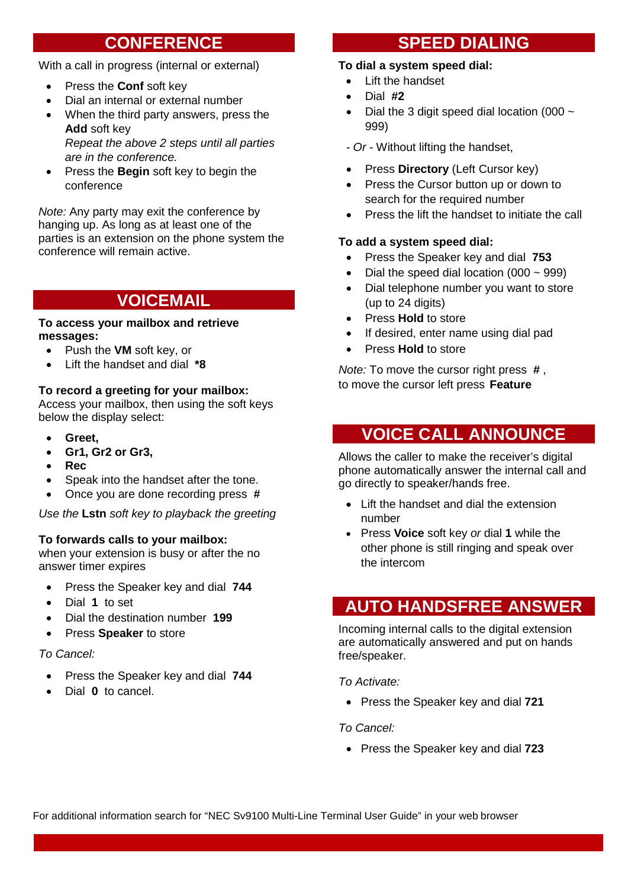## **CONFERENCE**

With a call in progress (internal or external)

- Press the **Conf** soft key
- Dial an internal or external number
- When the third party answers, press the **Add** soft key *Repeat the above 2 steps until all parties are in the conference.*
- Press the **Begin** soft key to begin the conference

*Note:* Any party may exit the conference by hanging up. As long as at least one of the parties is an extension on the phone system the conference will remain active.

## **VOICEMAIL**

#### **To access your mailbox and retrieve messages:**

- Push the **VM** soft key, or
- Lift the handset and dial **\*8**

### **To record a greeting for your mailbox:**

Access your mailbox, then using the soft keys below the display select:

- **Greet,**
- **Gr1, Gr2 or Gr3,**
- **Rec**
- Speak into the handset after the tone.
- Once you are done recording press **#**

*Use the* **Lstn** *soft key to playback the greeting*

### **To forwards calls to your mailbox:**

when your extension is busy or after the no answer timer expires

- Press the Speaker key and dial **744**
- Dial **1** to set
- Dial the destination number **199**
- Press **Speaker** to store

*To Cancel:*

- Press the Speaker key and dial **744**
- Dial **0** to cancel.

## **SPEED DIALING**

## **To dial a system speed dial:**

- Lift the handset
- Dial **#2**
- Dial the 3 digit speed dial location (000  $\sim$ 999)
- *- Or* Without lifting the handset,
- Press **Directory** (Left Cursor key)
- Press the Cursor button up or down to search for the required number
- Press the lift the handset to initiate the call

#### **To add a system speed dial:**

- Press the Speaker key and dial **753**
- Dial the speed dial location  $(000 \sim 999)$
- Dial telephone number you want to store (up to 24 digits)
- Press **Hold** to store
- If desired, enter name using dial pad
- Press **Hold** to store

*Note:* To move the cursor right press **#** , to move the cursor left press **Feature**

## **VOICE CALL ANNOUNCE**

Allows the caller to make the receiver's digital phone automatically answer the internal call and go directly to speaker/hands free.

- Lift the handset and dial the extension number
- Press **Voice** soft key *or* dial **1** while the other phone is still ringing and speak over the intercom

## **AUTO HANDSFREE ANSWER**

Incoming internal calls to the digital extension are automatically answered and put on hands free/speaker.

*To Activate:*

• Press the Speaker key and dial **721**

*To Cancel:*

• Press the Speaker key and dial **723**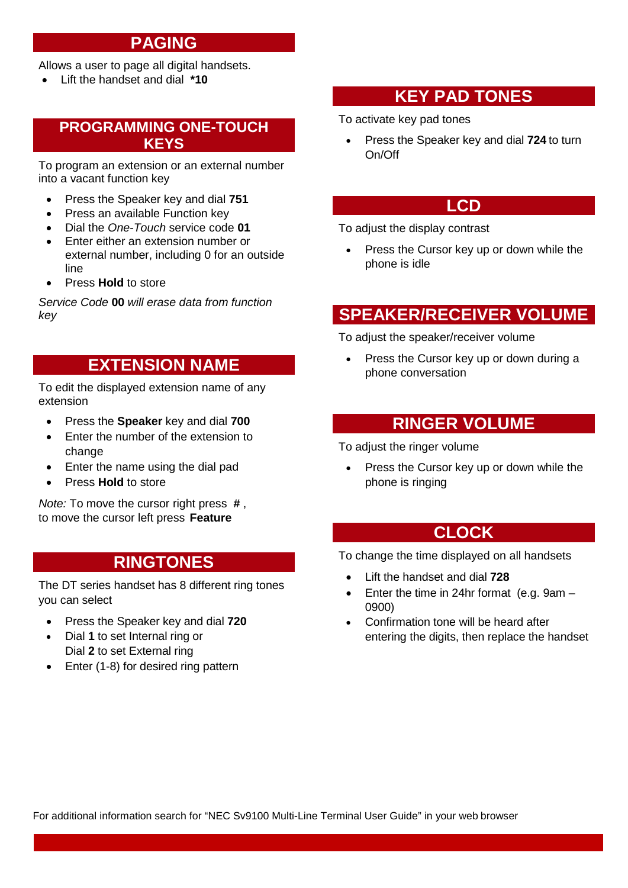## **PAGING**

Allows a user to page all digital handsets.

• Lift the handset and dial **\*10**

## **PROGRAMMING ONE-TOUCH KEYS**

To program an extension or an external number into a vacant function key

- Press the Speaker key and dial **751**
- Press an available Function key
- Dial the *One-Touch* service code **01**
- Enter either an extension number or external number, including 0 for an outside line
- Press **Hold** to store

*Service Code* **00** *will erase data from function key*

## **EXTENSION NAME**

To edit the displayed extension name of any extension

- Press the **Speaker** key and dial **700**
- Enter the number of the extension to change
- Enter the name using the dial pad
- Press **Hold** to store

*Note:* To move the cursor right press **#** , to move the cursor left press **Feature**

## **RINGTONES**

The DT series handset has 8 different ring tones you can select

- Press the Speaker key and dial **720**
- Dial **1** to set Internal ring or Dial **2** to set External ring
- Enter (1-8) for desired ring pattern

## **KEY PAD TONES**

To activate key pad tones

• Press the Speaker key and dial **724** to turn On/Off

## **LCD**

To adjust the display contrast

• Press the Cursor key up or down while the phone is idle

## **SPEAKER/RECEIVER VOLUME**

To adjust the speaker/receiver volume

• Press the Cursor key up or down during a phone conversation

## **RINGER VOLUME**

To adjust the ringer volume

Press the Cursor key up or down while the phone is ringing

## **CLOCK**

To change the time displayed on all handsets

- Lift the handset and dial **728**
- Enter the time in 24hr format (e.g. 9am 0900)
- Confirmation tone will be heard after entering the digits, then replace the handset